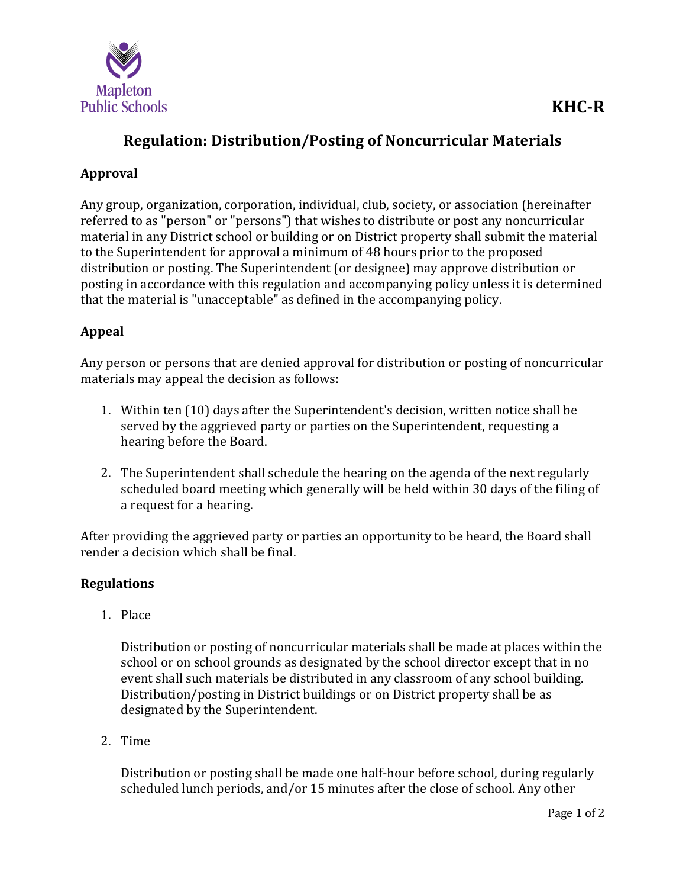

## **Regulation: Distribution/Posting of Noncurricular Materials**

## **Approval**

Any group, organization, corporation, individual, club, society, or association (hereinafter referred to as "person" or "persons") that wishes to distribute or post any noncurricular material in any District school or building or on District property shall submit the material to the Superintendent for approval a minimum of 48 hours prior to the proposed distribution or posting. The Superintendent (or designee) may approve distribution or posting in accordance with this regulation and accompanying policy unless it is determined that the material is "unacceptable" as defined in the accompanying policy.

## **Appeal**

Any person or persons that are denied approval for distribution or posting of noncurricular materials may appeal the decision as follows:

- 1. Within ten (10) days after the Superintendent's decision, written notice shall be served by the aggrieved party or parties on the Superintendent, requesting a hearing before the Board.
- 2. The Superintendent shall schedule the hearing on the agenda of the next regularly scheduled board meeting which generally will be held within 30 days of the filing of a request for a hearing.

After providing the aggrieved party or parties an opportunity to be heard, the Board shall render a decision which shall be final.

## **Regulations**

1. Place

Distribution or posting of noncurricular materials shall be made at places within the school or on school grounds as designated by the school director except that in no event shall such materials be distributed in any classroom of any school building. Distribution/posting in District buildings or on District property shall be as designated by the Superintendent.

2. Time

Distribution or posting shall be made one half-hour before school, during regularly scheduled lunch periods, and/or 15 minutes after the close of school. Any other